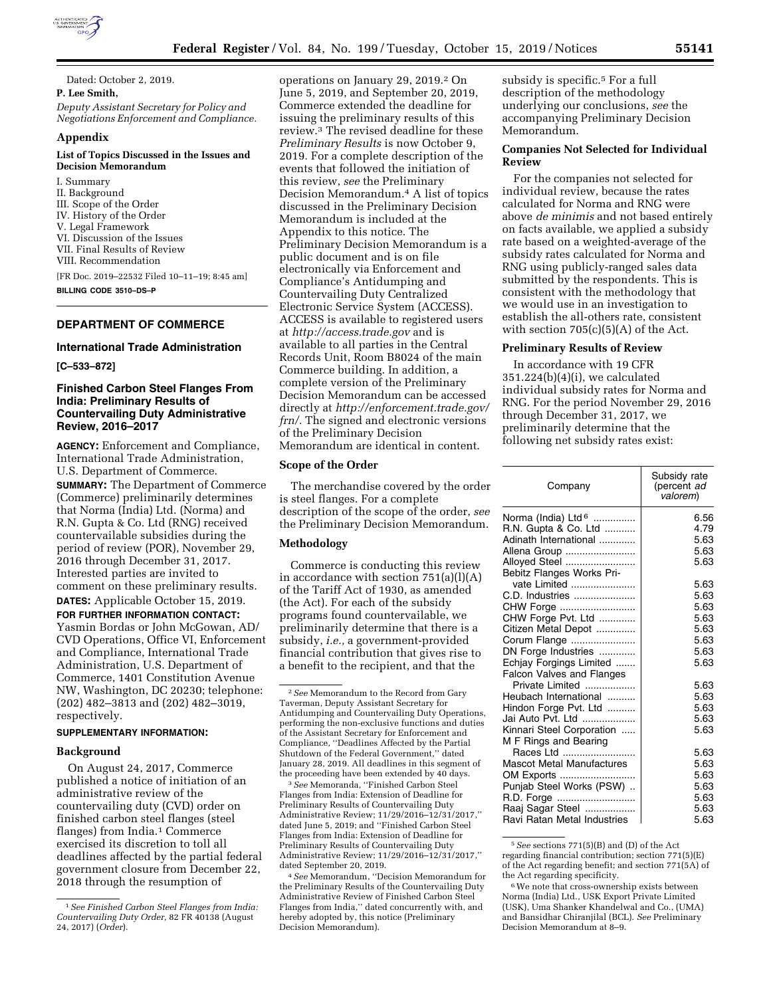

Dated: October 2, 2019. **P. Lee Smith,**  *Deputy Assistant Secretary for Policy and Negotiations Enforcement and Compliance.* 

#### **Appendix**

#### **List of Topics Discussed in the Issues and Decision Memorandum**

I. Summary II. Background III. Scope of the Order IV. History of the Order V. Legal Framework VI. Discussion of the Issues VII. Final Results of Review VIII. Recommendation [FR Doc. 2019–22532 Filed 10–11–19; 8:45 am] **BILLING CODE 3510–DS–P** 

# **DEPARTMENT OF COMMERCE**

# **International Trade Administration**

#### **[C–533–872]**

# **Finished Carbon Steel Flanges From India: Preliminary Results of Countervailing Duty Administrative Review, 2016–2017**

**AGENCY:** Enforcement and Compliance, International Trade Administration, U.S. Department of Commerce.

**SUMMARY:** The Department of Commerce (Commerce) preliminarily determines that Norma (India) Ltd. (Norma) and R.N. Gupta & Co. Ltd (RNG) received countervailable subsidies during the period of review (POR), November 29, 2016 through December 31, 2017. Interested parties are invited to comment on these preliminary results. **DATES:** Applicable October 15, 2019.

**FOR FURTHER INFORMATION CONTACT:**  Yasmin Bordas or John McGowan, AD/ CVD Operations, Office VI, Enforcement and Compliance, International Trade Administration, U.S. Department of Commerce, 1401 Constitution Avenue NW, Washington, DC 20230; telephone: (202) 482–3813 and (202) 482–3019, respectively.

#### **SUPPLEMENTARY INFORMATION:**

### **Background**

On August 24, 2017, Commerce published a notice of initiation of an administrative review of the countervailing duty (CVD) order on finished carbon steel flanges (steel flanges) from India.<sup>1</sup> Commerce exercised its discretion to toll all deadlines affected by the partial federal government closure from December 22, 2018 through the resumption of

operations on January 29, 2019.2 On June 5, 2019, and September 20, 2019, Commerce extended the deadline for issuing the preliminary results of this review.3 The revised deadline for these *Preliminary Results* is now October 9, 2019. For a complete description of the events that followed the initiation of this review, *see* the Preliminary Decision Memorandum.4 A list of topics discussed in the Preliminary Decision Memorandum is included at the Appendix to this notice. The Preliminary Decision Memorandum is a public document and is on file electronically via Enforcement and Compliance's Antidumping and Countervailing Duty Centralized Electronic Service System (ACCESS). ACCESS is available to registered users at *<http://access.trade.gov>*and is available to all parties in the Central Records Unit, Room B8024 of the main Commerce building. In addition, a complete version of the Preliminary Decision Memorandum can be accessed directly at *[http://enforcement.trade.gov/](http://enforcement.trade.gov/frn/)  [frn/.](http://enforcement.trade.gov/frn/)* The signed and electronic versions of the Preliminary Decision Memorandum are identical in content.

# **Scope of the Order**

The merchandise covered by the order is steel flanges. For a complete description of the scope of the order, *see*  the Preliminary Decision Memorandum.

### **Methodology**

Commerce is conducting this review in accordance with section  $751(a)(1)(A)$ of the Tariff Act of 1930, as amended (the Act). For each of the subsidy programs found countervailable, we preliminarily determine that there is a subsidy, *i.e.,* a government-provided financial contribution that gives rise to a benefit to the recipient, and that the

3*See* Memoranda, ''Finished Carbon Steel Flanges from India: Extension of Deadline for Preliminary Results of Countervailing Duty Administrative Review; 11/29/2016–12/31/2017,'' dated June 5, 2019; and ''Finished Carbon Steel Flanges from India: Extension of Deadline for Preliminary Results of Countervailing Duty Administrative Review; 11/29/2016–12/31/2017,'' dated September 20, 2019.

4*See* Memorandum, ''Decision Memorandum for the Preliminary Results of the Countervailing Duty Administrative Review of Finished Carbon Steel Flanges from India,'' dated concurrently with, and hereby adopted by, this notice (Preliminary Decision Memorandum).

subsidy is specific.5 For a full description of the methodology underlying our conclusions, *see* the accompanying Preliminary Decision Memorandum.

# **Companies Not Selected for Individual Review**

For the companies not selected for individual review, because the rates calculated for Norma and RNG were above *de minimis* and not based entirely on facts available, we applied a subsidy rate based on a weighted-average of the subsidy rates calculated for Norma and RNG using publicly-ranged sales data submitted by the respondents. This is consistent with the methodology that we would use in an investigation to establish the all-others rate, consistent with section  $705(c)(5)(A)$  of the Act.

### **Preliminary Results of Review**

In accordance with 19 CFR 351.224(b)(4)(i), we calculated individual subsidy rates for Norma and RNG. For the period November 29, 2016 through December 31, 2017, we preliminarily determine that the following net subsidy rates exist:

| Company                          | Subsidy rate<br>(percent ad<br>valorem) |
|----------------------------------|-----------------------------------------|
| Norma (India) Ltd <sup>6</sup>   | 6.56                                    |
| R.N. Gupta & Co. Ltd             | 4.79                                    |
| Adinath International            | 5.63                                    |
| Allena Group                     | 5.63                                    |
| Alloyed Steel                    | 5.63                                    |
| Bebitz Flanges Works Pri-        |                                         |
| vate Limited                     | 5.63                                    |
| C.D. Industries                  | 5.63                                    |
| CHW Forge                        | 5.63                                    |
| CHW Forge Pvt. Ltd               | 5.63                                    |
| Citizen Metal Depot              | 5.63                                    |
| Corum Flange                     | 5.63                                    |
| DN Forge Industries              | 5.63                                    |
| Echjay Forgings Limited          | 5.63                                    |
| Falcon Valves and Flanges        |                                         |
| Private Limited                  | 5.63                                    |
| Heubach International            | 5.63                                    |
| Hindon Forge Pvt. Ltd            | 5.63                                    |
| Jai Auto Pvt. Ltd                | 5.63                                    |
| Kinnari Steel Corporation        | 5.63                                    |
| M F Rings and Bearing            |                                         |
| Races Ltd                        | 5.63                                    |
| <b>Mascot Metal Manufactures</b> | 5.63                                    |
| OM Exports                       | 5.63                                    |
| Punjab Steel Works (PSW)         | 5.63                                    |
| R.D. Forge                       | 5.63                                    |
| Raaj Sagar Steel                 | 5.63                                    |
| Ravi Ratan Metal Industries      | 5.63                                    |

5*See* sections 771(5)(B) and (D) of the Act regarding financial contribution; section 771(5)(E) of the Act regarding benefit; and section 771(5A) of the Act regarding specificity.

6We note that cross-ownership exists between Norma (India) Ltd., USK Export Private Limited (USK), Uma Shanker Khandelwal and Co., (UMA) and Bansidhar Chiranjilal (BCL). *See* Preliminary Decision Memorandum at 8–9.

<sup>1</sup>*See Finished Carbon Steel Flanges from India: Countervailing Duty Order,* 82 FR 40138 (August 24, 2017) (*Order*).

<sup>2</sup>*See* Memorandum to the Record from Gary Taverman, Deputy Assistant Secretary for Antidumping and Countervailing Duty Operations, performing the non-exclusive functions and duties of the Assistant Secretary for Enforcement and Compliance, ''Deadlines Affected by the Partial Shutdown of the Federal Government,'' dated January 28, 2019. All deadlines in this segment of the proceeding have been extended by 40 days.